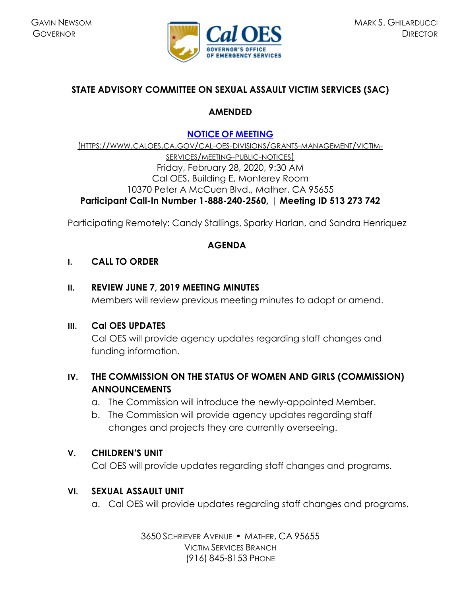

# **STATE ADVISORY COMMITTEE ON SEXUAL ASSAULT VICTIM SERVICES (SAC)**

## **AMENDED**

# **NOTICE OF [MEETING](https://www.caloes.ca.gov/cal-oes-divisions/grants-management/victim-services/meeting-public-notices)**

(HTTPS://WWW.CALOES.CA.GOV/CAL-OES-DIVISIONS/GRANTS-MANAGEMENT/VICTIM-SERVICES/MEETING-PUBLIC-NOTICES) Friday, February 28, 2020, 9:30 AM Cal OES, Building E, Monterey Room 10370 Peter A McCuen Blvd., Mather, CA 95655 **Participant Call-In Number 1-888-240-2560,** | **Meeting ID 513 273 742** 

Participating Remotely: Candy Stallings, Sparky Harlan, and Sandra Henriquez

### **AGENDA**

### **I. CALL TO ORDER**

### **II. REVIEW JUNE 7, 2019 MEETING MINUTES**

Members will review previous meeting minutes to adopt or amend.

### **III. Cal OES UPDATES**

Cal OES will provide agency updates regarding staff changes and funding information.

# **IV. THE COMMISSION ON THE STATUS OF WOMEN AND GIRLS (COMMISSION) ANNOUNCEMENTS**

- a. The Commission will introduce the newly-appointed Member.
- b. The Commission will provide agency updates regarding staff changes and projects they are currently overseeing.

## **V. CHILDREN'S UNIT**

Cal OES will provide updates regarding staff changes and programs.

## **VI. SEXUAL ASSAULT UNIT**

a. Cal OES will provide updates regarding staff changes and programs.

3650 SCHRIEVER AVENUE MATHER, CA 95655 VICTIM SERVICES BRANCH (916) 845-8153 PHONE